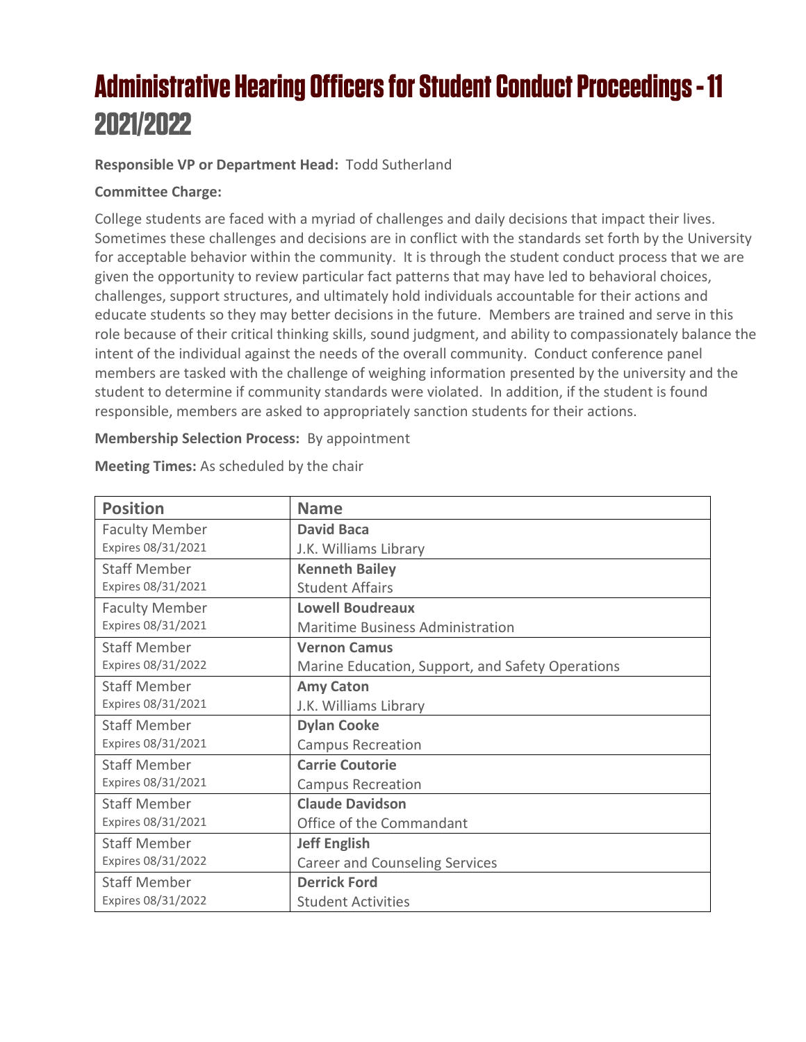# **Administrative Hearing Officers for Student Conduct Proceedings - 11** 2021/2022

### **Responsible VP or Department Head:** Todd Sutherland

### **Committee Charge:**

College students are faced with a myriad of challenges and daily decisions that impact their lives. Sometimes these challenges and decisions are in conflict with the standards set forth by the University for acceptable behavior within the community. It is through the student conduct process that we are given the opportunity to review particular fact patterns that may have led to behavioral choices, challenges, support structures, and ultimately hold individuals accountable for their actions and educate students so they may better decisions in the future. Members are trained and serve in this role because of their critical thinking skills, sound judgment, and ability to compassionately balance the intent of the individual against the needs of the overall community. Conduct conference panel members are tasked with the challenge of weighing information presented by the university and the student to determine if community standards were violated. In addition, if the student is found responsible, members are asked to appropriately sanction students for their actions.

#### **Membership Selection Process:** By appointment

| <b>Position</b>       | <b>Name</b>                                      |
|-----------------------|--------------------------------------------------|
| <b>Faculty Member</b> | <b>David Baca</b>                                |
| Expires 08/31/2021    | J.K. Williams Library                            |
| <b>Staff Member</b>   | <b>Kenneth Bailey</b>                            |
| Expires 08/31/2021    | <b>Student Affairs</b>                           |
| <b>Faculty Member</b> | <b>Lowell Boudreaux</b>                          |
| Expires 08/31/2021    | Maritime Business Administration                 |
| <b>Staff Member</b>   | <b>Vernon Camus</b>                              |
| Expires 08/31/2022    | Marine Education, Support, and Safety Operations |
| <b>Staff Member</b>   | <b>Amy Caton</b>                                 |
| Expires 08/31/2021    | J.K. Williams Library                            |
| <b>Staff Member</b>   | <b>Dylan Cooke</b>                               |
| Expires 08/31/2021    | <b>Campus Recreation</b>                         |
| <b>Staff Member</b>   | <b>Carrie Coutorie</b>                           |
| Expires 08/31/2021    | <b>Campus Recreation</b>                         |
| <b>Staff Member</b>   | <b>Claude Davidson</b>                           |
| Expires 08/31/2021    | Office of the Commandant                         |
| <b>Staff Member</b>   | <b>Jeff English</b>                              |
| Expires 08/31/2022    | <b>Career and Counseling Services</b>            |
| <b>Staff Member</b>   | <b>Derrick Ford</b>                              |
| Expires 08/31/2022    | <b>Student Activities</b>                        |

**Meeting Times:** As scheduled by the chair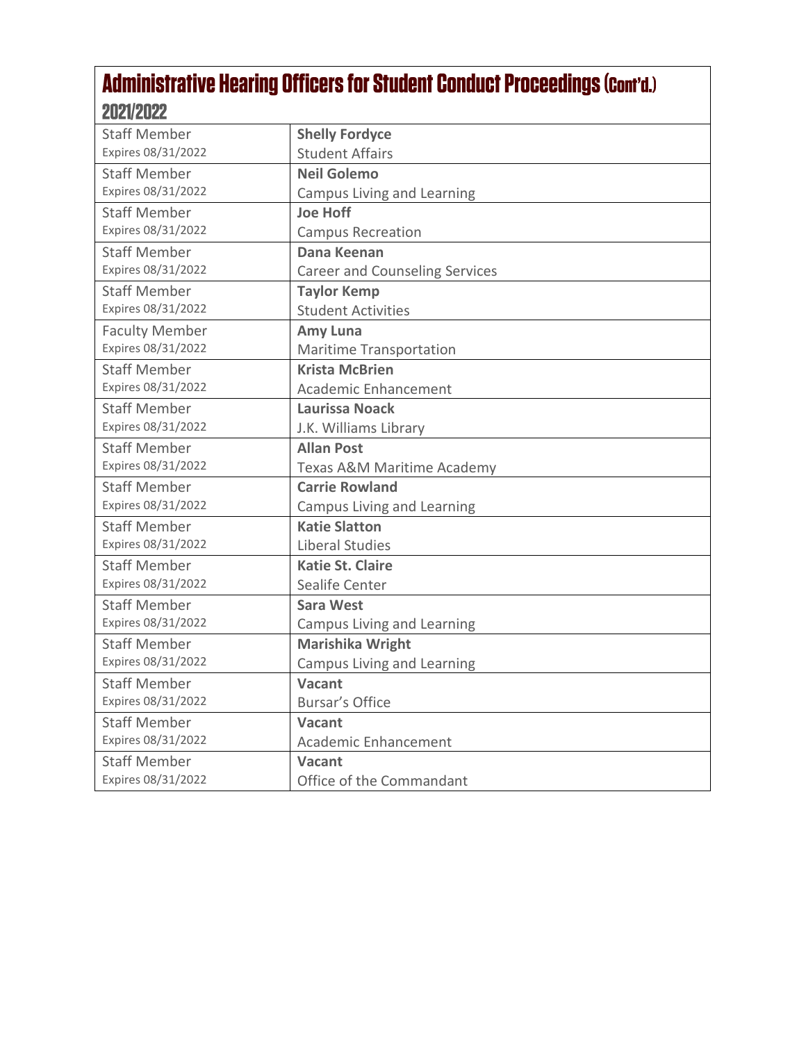# Administrative Hearing Officers for Student Conduct Proceedings (Cont'd.) 2021/2022

| <b>Staff Member</b>   | <b>Shelly Fordyce</b>                 |
|-----------------------|---------------------------------------|
| Expires 08/31/2022    | <b>Student Affairs</b>                |
| <b>Staff Member</b>   | <b>Neil Golemo</b>                    |
| Expires 08/31/2022    | <b>Campus Living and Learning</b>     |
| <b>Staff Member</b>   | <b>Joe Hoff</b>                       |
| Expires 08/31/2022    | <b>Campus Recreation</b>              |
| <b>Staff Member</b>   | <b>Dana Keenan</b>                    |
| Expires 08/31/2022    | <b>Career and Counseling Services</b> |
| <b>Staff Member</b>   | <b>Taylor Kemp</b>                    |
| Expires 08/31/2022    | <b>Student Activities</b>             |
| <b>Faculty Member</b> | Amy Luna                              |
| Expires 08/31/2022    | <b>Maritime Transportation</b>        |
| <b>Staff Member</b>   | <b>Krista McBrien</b>                 |
| Expires 08/31/2022    | Academic Enhancement                  |
| <b>Staff Member</b>   | <b>Laurissa Noack</b>                 |
| Expires 08/31/2022    | J.K. Williams Library                 |
| <b>Staff Member</b>   | <b>Allan Post</b>                     |
| Expires 08/31/2022    | Texas A&M Maritime Academy            |
| <b>Staff Member</b>   | <b>Carrie Rowland</b>                 |
| Expires 08/31/2022    | <b>Campus Living and Learning</b>     |
| <b>Staff Member</b>   | <b>Katie Slatton</b>                  |
| Expires 08/31/2022    | Liberal Studies                       |
| <b>Staff Member</b>   | <b>Katie St. Claire</b>               |
| Expires 08/31/2022    | Sealife Center                        |
| <b>Staff Member</b>   | <b>Sara West</b>                      |
| Expires 08/31/2022    | <b>Campus Living and Learning</b>     |
| <b>Staff Member</b>   | <b>Marishika Wright</b>               |
| Expires 08/31/2022    | <b>Campus Living and Learning</b>     |
| <b>Staff Member</b>   | <b>Vacant</b>                         |
| Expires 08/31/2022    | <b>Bursar's Office</b>                |
| <b>Staff Member</b>   | <b>Vacant</b>                         |
| Expires 08/31/2022    | <b>Academic Enhancement</b>           |
| <b>Staff Member</b>   | <b>Vacant</b>                         |
| Expires 08/31/2022    | Office of the Commandant              |